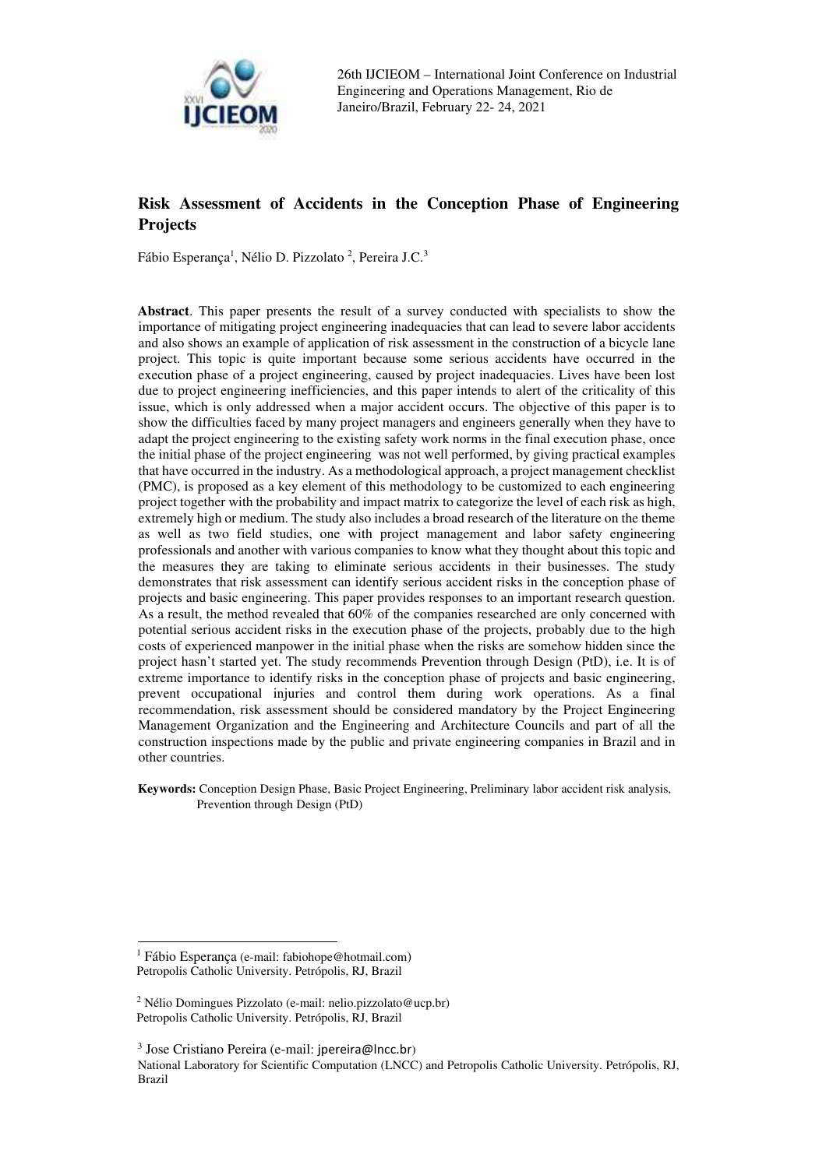

# **Risk Assessment of Accidents in the Conception Phase of Engineering Projects**

Fábio Esperança<sup>1</sup>, Nélio D. Pizzolato<sup>2</sup>, Pereira J.C.<sup>3</sup>

**Abstract**. This paper presents the result of a survey conducted with specialists to show the importance of mitigating project engineering inadequacies that can lead to severe labor accidents and also shows an example of application of risk assessment in the construction of a bicycle lane project. This topic is quite important because some serious accidents have occurred in the execution phase of a project engineering, caused by project inadequacies. Lives have been lost due to project engineering inefficiencies, and this paper intends to alert of the criticality of this issue, which is only addressed when a major accident occurs. The objective of this paper is to show the difficulties faced by many project managers and engineers generally when they have to adapt the project engineering to the existing safety work norms in the final execution phase, once the initial phase of the project engineering was not well performed, by giving practical examples that have occurred in the industry. As a methodological approach, a project management checklist (PMC), is proposed as a key element of this methodology to be customized to each engineering project together with the probability and impact matrix to categorize the level of each risk as high, extremely high or medium. The study also includes a broad research of the literature on the theme as well as two field studies, one with project management and labor safety engineering professionals and another with various companies to know what they thought about this topic and the measures they are taking to eliminate serious accidents in their businesses. The study demonstrates that risk assessment can identify serious accident risks in the conception phase of projects and basic engineering. This paper provides responses to an important research question. As a result, the method revealed that 60% of the companies researched are only concerned with potential serious accident risks in the execution phase of the projects, probably due to the high costs of experienced manpower in the initial phase when the risks are somehow hidden since the project hasn't started yet. The study recommends Prevention through Design (PtD), i.e. It is of extreme importance to identify risks in the conception phase of projects and basic engineering, prevent occupational injuries and control them during work operations. As a final recommendation, risk assessment should be considered mandatory by the Project Engineering Management Organization and the Engineering and Architecture Councils and part of all the construction inspections made by the public and private engineering companies in Brazil and in other countries.

**Keywords:** Conception Design Phase, Basic Project Engineering, Preliminary labor accident risk analysis, Prevention through Design (PtD)

<sup>1</sup> Fábio Esperança (e-mail: fabiohope@hotmail.com) Petropolis Catholic University. Petrópolis, RJ, Brazil

<sup>2</sup> Nélio Domingues Pizzolato (e-mail: nelio.pizzolato@ucp.br) Petropolis Catholic University. Petrópolis, RJ, Brazil

<sup>3</sup> Jose Cristiano Pereira (e-mail: jpereira@lncc.br) National Laboratory for Scientific Computation (LNCC) and Petropolis Catholic University. Petrópolis, RJ, Brazil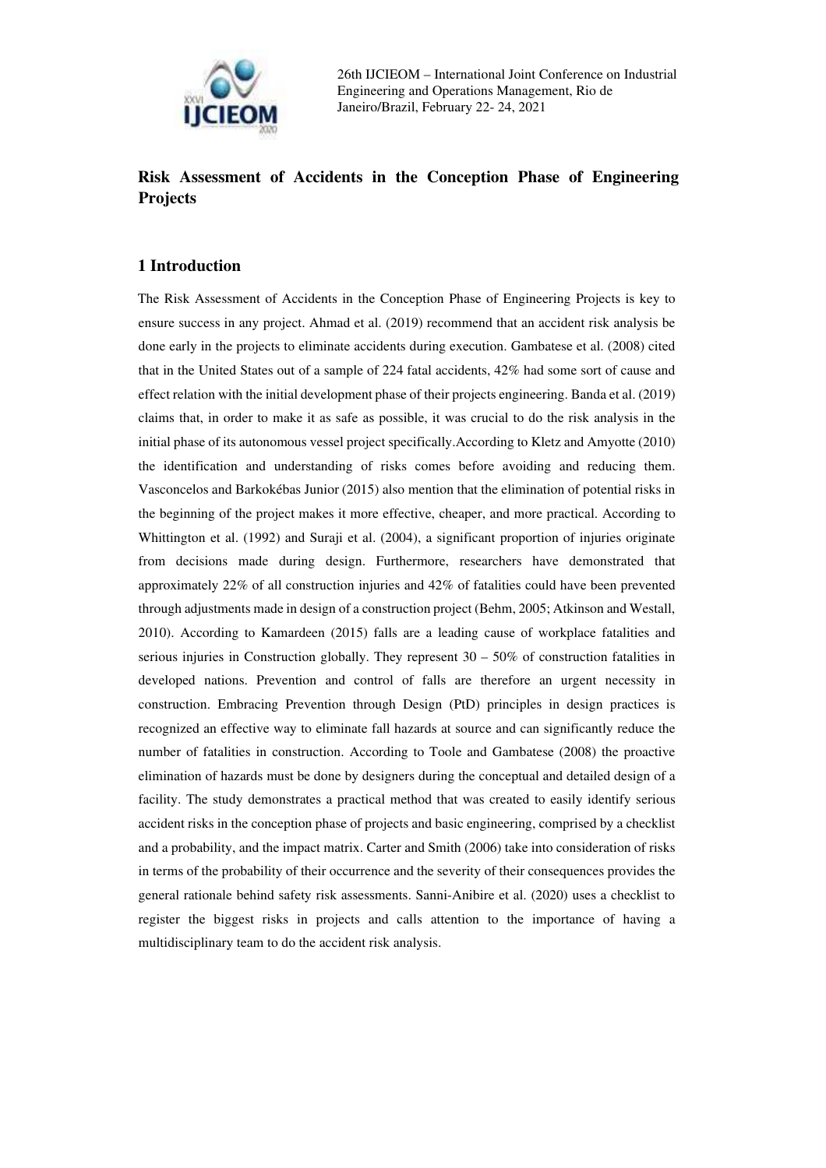

# **Risk Assessment of Accidents in the Conception Phase of Engineering Projects**

### **1 Introduction**

The Risk Assessment of Accidents in the Conception Phase of Engineering Projects is key to ensure success in any project. Ahmad et al. (2019) recommend that an accident risk analysis be done early in the projects to eliminate accidents during execution. Gambatese et al. (2008) cited that in the United States out of a sample of 224 fatal accidents, 42% had some sort of cause and effect relation with the initial development phase of their projects engineering. Banda et al. (2019) claims that, in order to make it as safe as possible, it was crucial to do the risk analysis in the initial phase of its autonomous vessel project specifically.According to Kletz and Amyotte (2010) the identification and understanding of risks comes before avoiding and reducing them. Vasconcelos and Barkokébas Junior (2015) also mention that the elimination of potential risks in the beginning of the project makes it more effective, cheaper, and more practical. According to Whittington et al. (1992) and Suraji et al. (2004), a significant proportion of injuries originate from decisions made during design. Furthermore, researchers have demonstrated that approximately 22% of all construction injuries and 42% of fatalities could have been prevented through adjustments made in design of a construction project (Behm, 2005; Atkinson and Westall, 2010). According to Kamardeen (2015) falls are a leading cause of workplace fatalities and serious injuries in Construction globally. They represent  $30 - 50\%$  of construction fatalities in developed nations. Prevention and control of falls are therefore an urgent necessity in construction. Embracing Prevention through Design (PtD) principles in design practices is recognized an effective way to eliminate fall hazards at source and can significantly reduce the number of fatalities in construction. According to Toole and Gambatese (2008) the proactive elimination of hazards must be done by designers during the conceptual and detailed design of a facility. The study demonstrates a practical method that was created to easily identify serious accident risks in the conception phase of projects and basic engineering, comprised by a checklist and a probability, and the impact matrix. Carter and Smith (2006) take into consideration of risks in terms of the probability of their occurrence and the severity of their consequences provides the general rationale behind safety risk assessments. Sanni-Anibire et al. (2020) uses a checklist to register the biggest risks in projects and calls attention to the importance of having a multidisciplinary team to do the accident risk analysis.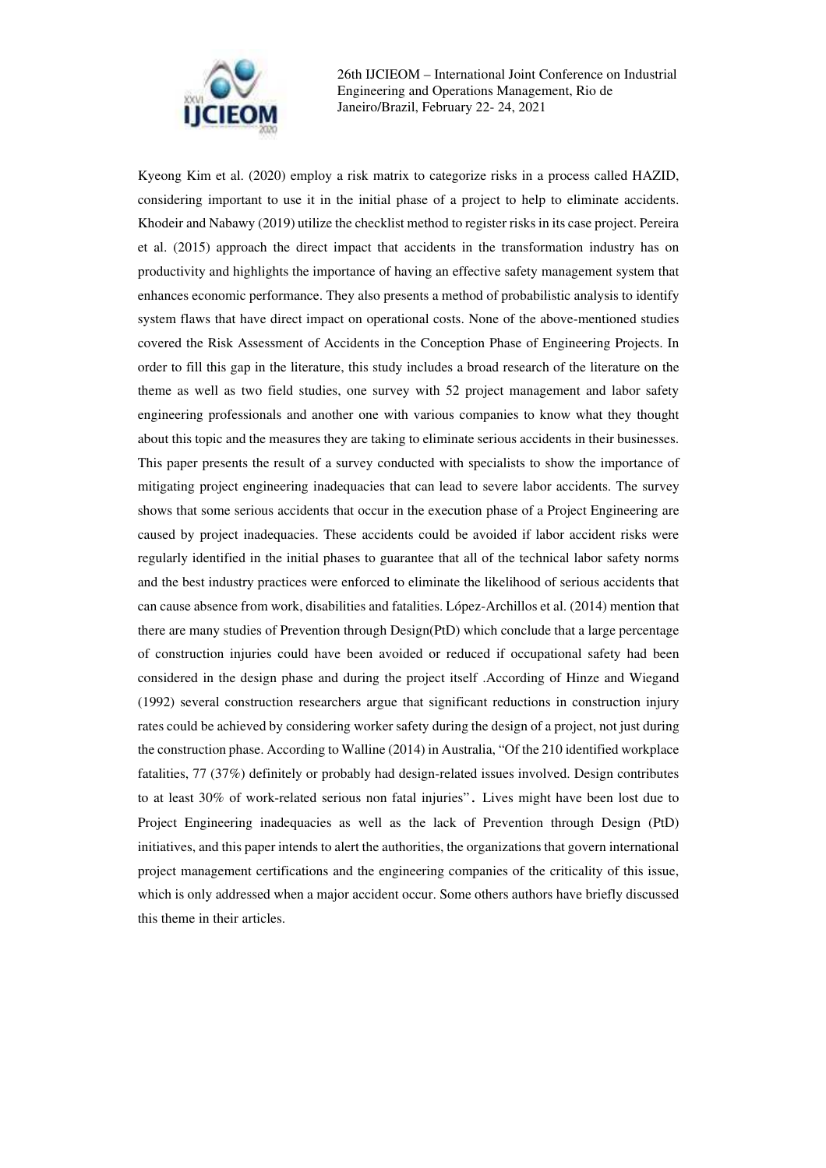

Kyeong Kim et al. (2020) employ a risk matrix to categorize risks in a process called HAZID, considering important to use it in the initial phase of a project to help to eliminate accidents. Khodeir and Nabawy (2019) utilize the checklist method to register risks in its case project. Pereira et al. (2015) approach the direct impact that accidents in the transformation industry has on productivity and highlights the importance of having an effective safety management system that enhances economic performance. They also presents a method of probabilistic analysis to identify system flaws that have direct impact on operational costs. None of the above-mentioned studies covered the Risk Assessment of Accidents in the Conception Phase of Engineering Projects. In order to fill this gap in the literature, this study includes a broad research of the literature on the theme as well as two field studies, one survey with 52 project management and labor safety engineering professionals and another one with various companies to know what they thought about this topic and the measures they are taking to eliminate serious accidents in their businesses. This paper presents the result of a survey conducted with specialists to show the importance of mitigating project engineering inadequacies that can lead to severe labor accidents. The survey shows that some serious accidents that occur in the execution phase of a Project Engineering are caused by project inadequacies. These accidents could be avoided if labor accident risks were regularly identified in the initial phases to guarantee that all of the technical labor safety norms and the best industry practices were enforced to eliminate the likelihood of serious accidents that can cause absence from work, disabilities and fatalities. López-Archillos et al. (2014) mention that there are many studies of Prevention through Design(PtD) which conclude that a large percentage of construction injuries could have been avoided or reduced if occupational safety had been considered in the design phase and during the project itself .According of Hinze and Wiegand (1992) several construction researchers argue that significant reductions in construction injury rates could be achieved by considering worker safety during the design of a project, not just during the construction phase. According to Walline (2014) in Australia, "Of the 210 identified workplace fatalities, 77 (37%) definitely or probably had design-related issues involved. Design contributes to at least 30% of work-related serious non fatal injuries". Lives might have been lost due to Project Engineering inadequacies as well as the lack of Prevention through Design (PtD) initiatives, and this paper intends to alert the authorities, the organizations that govern international project management certifications and the engineering companies of the criticality of this issue, which is only addressed when a major accident occur. Some others authors have briefly discussed this theme in their articles.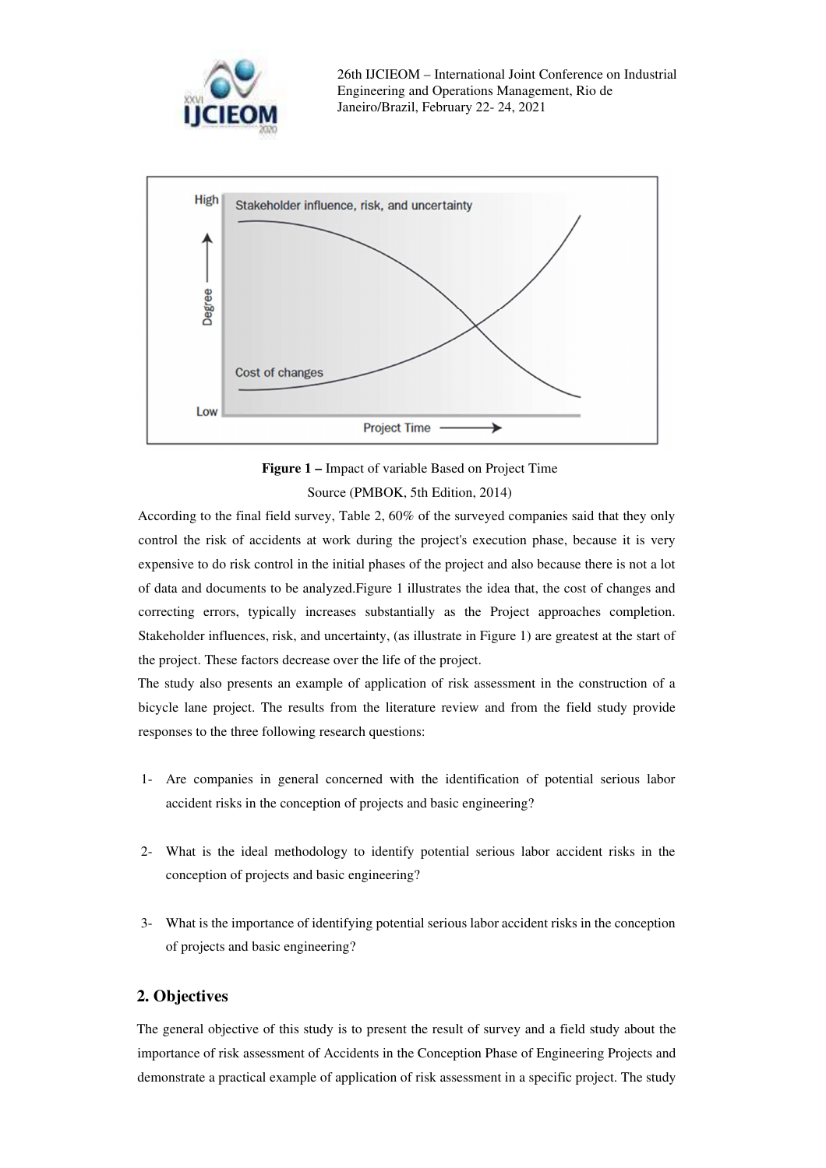



**Figure 1 –** Impact of variable Based on Project Time Source (PMBOK, 5th Edition, 2014)

According to the final field survey, Table 2, 60% of the surveyed companies said that they only control the risk of accidents at work during the project's execution phase, because it is very expensive to do risk control in the initial phases of the project and also because there is not a lot of data and documents to be analyzed.Figure 1 illustrates the idea that, the cost of changes and correcting errors, typically increases substantially as the Project approaches completion. Stakeholder influences, risk, and uncertainty, (as illustrate in Figure 1) are greatest at the start of the project. These factors decrease over the life of the project.

The study also presents an example of application of risk assessment in the construction of a bicycle lane project. The results from the literature review and from the field study provide responses to the three following research questions:

- 1- Are companies in general concerned with the identification of potential serious labor accident risks in the conception of projects and basic engineering?
- 2- What is the ideal methodology to identify potential serious labor accident risks in the conception of projects and basic engineering?
- 3- What is the importance of identifying potential serious labor accident risks in the conception of projects and basic engineering?

### **2. Objectives**

The general objective of this study is to present the result of survey and a field study about the importance of risk assessment of Accidents in the Conception Phase of Engineering Projects and demonstrate a practical example of application of risk assessment in a specific project. The study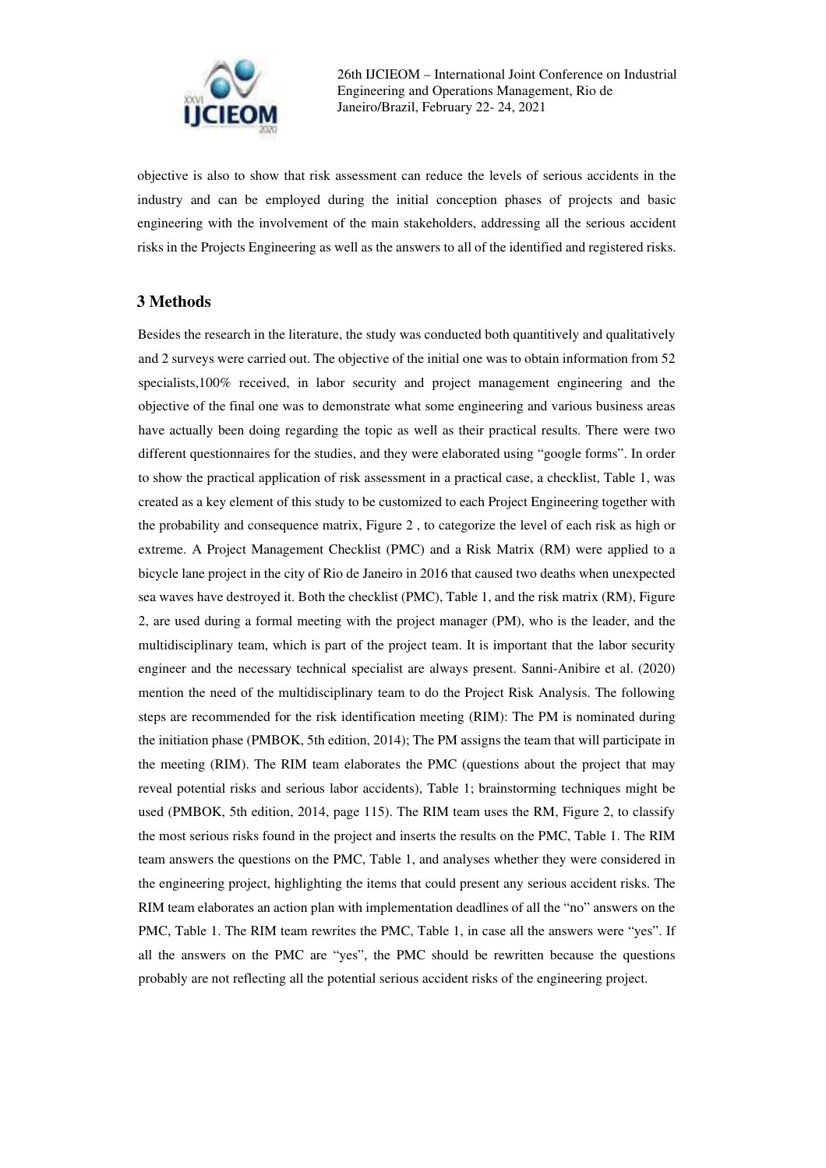

objective is also to show that risk assessment can reduce the levels of serious accidents in the industry and can be employed during the initial conception phases of projects and basic engineering with the involvement of the main stakeholders, addressing all the serious accident risks in the Projects Engineering as well as the answers to all of the identified and registered risks.

#### **3 Methods**

Besides the research in the literature, the study was conducted both quantitively and qualitatively and 2 surveys were carried out. The objective of the initial one was to obtain information from 52 specialists,100% received, in labor security and project management engineering and the objective of the final one was to demonstrate what some engineering and various business areas have actually been doing regarding the topic as well as their practical results. There were two different questionnaires for the studies, and they were elaborated using "google forms". In order to show the practical application of risk assessment in a practical case, a checklist, Table 1, was created as a key element of this study to be customized to each Project Engineering together with the probability and consequence matrix, Figure 2 , to categorize the level of each risk as high or extreme. A Project Management Checklist (PMC) and a Risk Matrix (RM) were applied to a bicycle lane project in the city of Rio de Janeiro in 2016 that caused two deaths when unexpected sea waves have destroyed it. Both the checklist (PMC), Table 1, and the risk matrix (RM), Figure 2, are used during a formal meeting with the project manager (PM), who is the leader, and the multidisciplinary team, which is part of the project team. It is important that the labor security engineer and the necessary technical specialist are always present. Sanni-Anibire et al. (2020) mention the need of the multidisciplinary team to do the Project Risk Analysis. The following steps are recommended for the risk identification meeting (RIM): The PM is nominated during the initiation phase (PMBOK, 5th edition, 2014); The PM assigns the team that will participate in the meeting (RIM). The RIM team elaborates the PMC (questions about the project that may reveal potential risks and serious labor accidents), Table 1; brainstorming techniques might be used (PMBOK, 5th edition, 2014, page 115). The RIM team uses the RM, Figure 2, to classify the most serious risks found in the project and inserts the results on the PMC, Table 1. The RIM team answers the questions on the PMC, Table 1, and analyses whether they were considered in the engineering project, highlighting the items that could present any serious accident risks. The RIM team elaborates an action plan with implementation deadlines of all the "no" answers on the PMC, Table 1. The RIM team rewrites the PMC, Table 1, in case all the answers were "yes". If all the answers on the PMC are "yes", the PMC should be rewritten because the questions probably are not reflecting all the potential serious accident risks of the engineering project.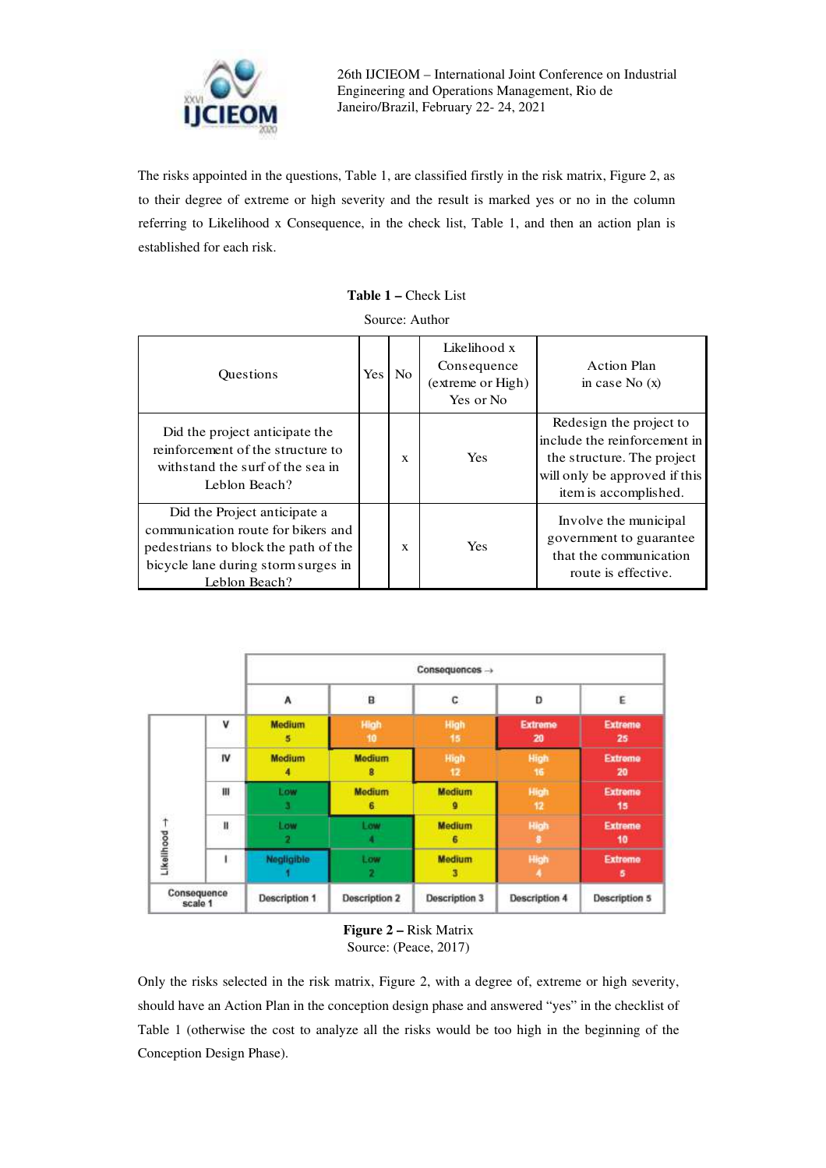

The risks appointed in the questions, Table 1, are classified firstly in the risk matrix, Figure 2, as to their degree of extreme or high severity and the result is marked yes or no in the column referring to Likelihood x Consequence, in the check list, Table 1, and then an action plan is established for each risk.

| <b>Table 1 – Check List</b> |  |  |  |
|-----------------------------|--|--|--|
|-----------------------------|--|--|--|

Source: Author

| <b>Ouestions</b>                                                                                                                                                   | <b>Yes</b> | N <sub>0</sub> | Likelihood x<br>Consequence<br>(extreme or High)<br>Yes or No | Action Plan<br>in case No $(x)$                                                                                                                 |
|--------------------------------------------------------------------------------------------------------------------------------------------------------------------|------------|----------------|---------------------------------------------------------------|-------------------------------------------------------------------------------------------------------------------------------------------------|
| Did the project anticipate the<br>reinforcement of the structure to<br>withstand the surf of the sea in<br>Leblon Beach?                                           |            | X              | <b>Yes</b>                                                    | Redesign the project to<br>include the reinforcement in<br>the structure. The project<br>will only be approved if this<br>item is accomplished. |
| Did the Project anticipate a<br>communication route for bikers and<br>pedestrians to block the path of the<br>bicycle lane during storm surges in<br>Leblon Beach? |            | X              | <b>Yes</b>                                                    | Involve the municipal<br>government to guarantee<br>that the communication<br>route is effective.                                               |

|                             |                        | Consequences ->      |                      |                      |                      |                      |
|-----------------------------|------------------------|----------------------|----------------------|----------------------|----------------------|----------------------|
|                             |                        | Α                    | B                    | с                    | Ď                    | Ė                    |
| $L$ ikellhood $\rightarrow$ | $\mathbf v$            | <b>Medium</b><br>5   | High<br>10           | High<br>15           | <b>Extreme</b><br>20 | Extreme<br>25        |
|                             | IV                     | Medium<br>4          | <b>Medium</b><br>8   | High<br>12           | High<br>16           | <b>Extreme</b><br>20 |
|                             | m                      | Low<br>3             | <b>Medium</b><br>6   | <b>Medium</b><br>o   | High<br>$-12$        | <b>Extreme</b><br>15 |
|                             | H                      | Low                  | Low<br>л             | <b>Medium</b><br>6   | <b>High</b>          | <b>Extreme</b><br>10 |
|                             | ı                      | Negligible           | Low<br>2             | <b>Medium</b><br>3   | High<br>٨            | <b>Extreme</b><br>5  |
|                             | Consequence<br>scale 1 | <b>Description 1</b> | <b>Description 2</b> | <b>Description 3</b> | <b>Description 4</b> | <b>Description 5</b> |

**Figure 2 –** Risk Matrix Source: (Peace, 2017)

Only the risks selected in the risk matrix, Figure 2, with a degree of, extreme or high severity, should have an Action Plan in the conception design phase and answered "yes" in the checklist of Table 1 (otherwise the cost to analyze all the risks would be too high in the beginning of the Conception Design Phase).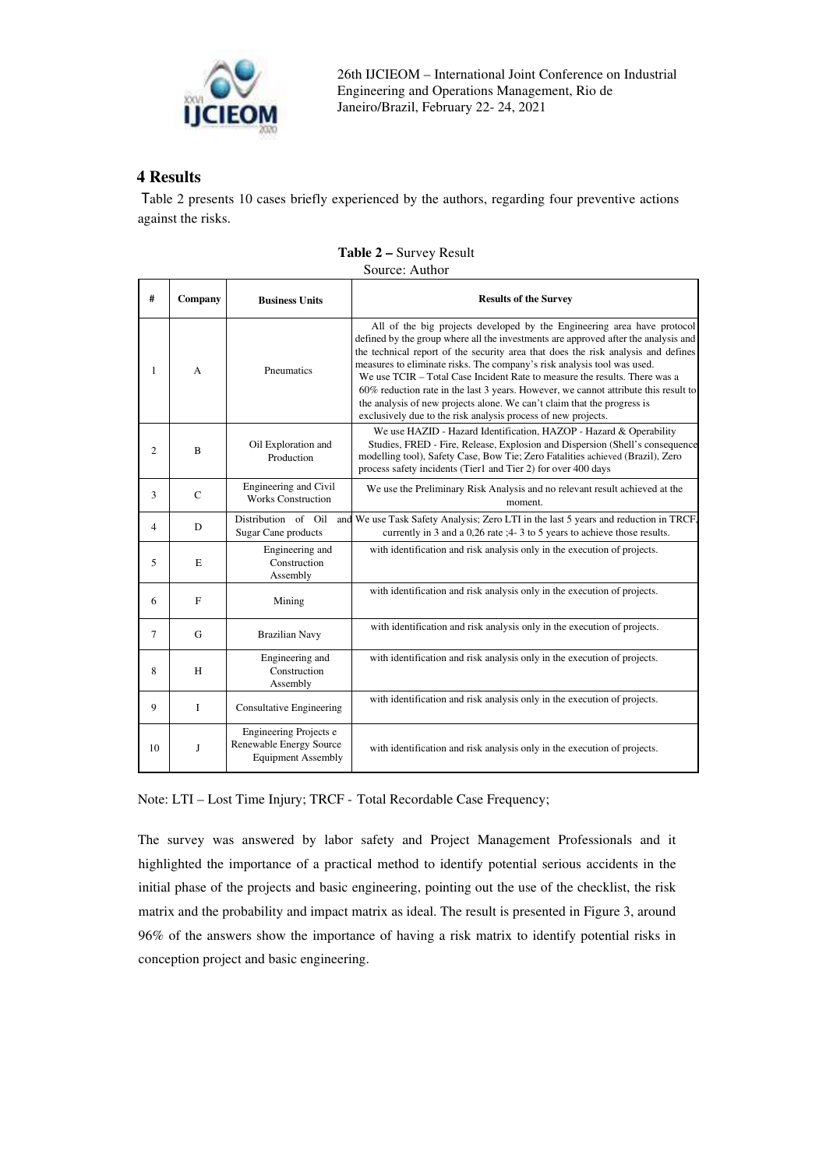

# **4 Results**

 Table 2 presents 10 cases briefly experienced by the authors, regarding four preventive actions against the risks.

| #              | Company     | <b>Business Units</b>                                                          | <b>Results of the Survey</b>                                                                                                                                                                                                                                                                                                                                                                                                                                                                                                                                                                                                                   |  |  |  |
|----------------|-------------|--------------------------------------------------------------------------------|------------------------------------------------------------------------------------------------------------------------------------------------------------------------------------------------------------------------------------------------------------------------------------------------------------------------------------------------------------------------------------------------------------------------------------------------------------------------------------------------------------------------------------------------------------------------------------------------------------------------------------------------|--|--|--|
| 1              | A           | Pneumatics                                                                     | All of the big projects developed by the Engineering area have protocol<br>defined by the group where all the investments are approved after the analysis and<br>the technical report of the security area that does the risk analysis and defines<br>measures to eliminate risks. The company's risk analysis tool was used.<br>We use TCIR - Total Case Incident Rate to measure the results. There was a<br>60% reduction rate in the last 3 years. However, we cannot attribute this result to<br>the analysis of new projects alone. We can't claim that the progress is<br>exclusively due to the risk analysis process of new projects. |  |  |  |
| $\overline{2}$ | B           | Oil Exploration and<br>Production                                              | We use HAZID - Hazard Identification, HAZOP - Hazard & Operability<br>Studies, FRED - Fire, Release, Explosion and Dispersion (Shell's consequence<br>modelling tool), Safety Case, Bow Tie; Zero Fatalities achieved (Brazil), Zero<br>process safety incidents (Tier1 and Tier 2) for over 400 days                                                                                                                                                                                                                                                                                                                                          |  |  |  |
| 3              | $\mathbf C$ | Engineering and Civil<br><b>Works Construction</b>                             | We use the Preliminary Risk Analysis and no relevant result achieved at the<br>moment.                                                                                                                                                                                                                                                                                                                                                                                                                                                                                                                                                         |  |  |  |
| 4              | D           | Distribution of Oil<br>Sugar Cane products                                     | and We use Task Safety Analysis; Zero LTI in the last 5 years and reduction in TRCF,<br>currently in 3 and a 0,26 rate ;4-3 to 5 years to achieve those results.                                                                                                                                                                                                                                                                                                                                                                                                                                                                               |  |  |  |
| 5              | E           | Engineering and<br>Construction<br>Assembly                                    | with identification and risk analysis only in the execution of projects.                                                                                                                                                                                                                                                                                                                                                                                                                                                                                                                                                                       |  |  |  |
| 6              | F           | Mining                                                                         | with identification and risk analysis only in the execution of projects.                                                                                                                                                                                                                                                                                                                                                                                                                                                                                                                                                                       |  |  |  |
| 7              | G           | <b>Brazilian Navy</b>                                                          | with identification and risk analysis only in the execution of projects.                                                                                                                                                                                                                                                                                                                                                                                                                                                                                                                                                                       |  |  |  |
| 8              | H           | Engineering and<br>Construction<br>Assembly                                    | with identification and risk analysis only in the execution of projects.                                                                                                                                                                                                                                                                                                                                                                                                                                                                                                                                                                       |  |  |  |
| 9              | $\mathbf I$ | <b>Consultative Engineering</b>                                                | with identification and risk analysis only in the execution of projects.                                                                                                                                                                                                                                                                                                                                                                                                                                                                                                                                                                       |  |  |  |
| 10             | J           | Engineering Projects e<br>Renewable Energy Source<br><b>Equipment Assembly</b> | with identification and risk analysis only in the execution of projects.                                                                                                                                                                                                                                                                                                                                                                                                                                                                                                                                                                       |  |  |  |

#### **Table 2 –** Survey Result Source: Author

Note: LTI – Lost Time Injury; TRCF - Total Recordable Case Frequency;

The survey was answered by labor safety and Project Management Professionals and it highlighted the importance of a practical method to identify potential serious accidents in the initial phase of the projects and basic engineering, pointing out the use of the checklist, the risk matrix and the probability and impact matrix as ideal. The result is presented in Figure 3, around 96% of the answers show the importance of having a risk matrix to identify potential risks in conception project and basic engineering.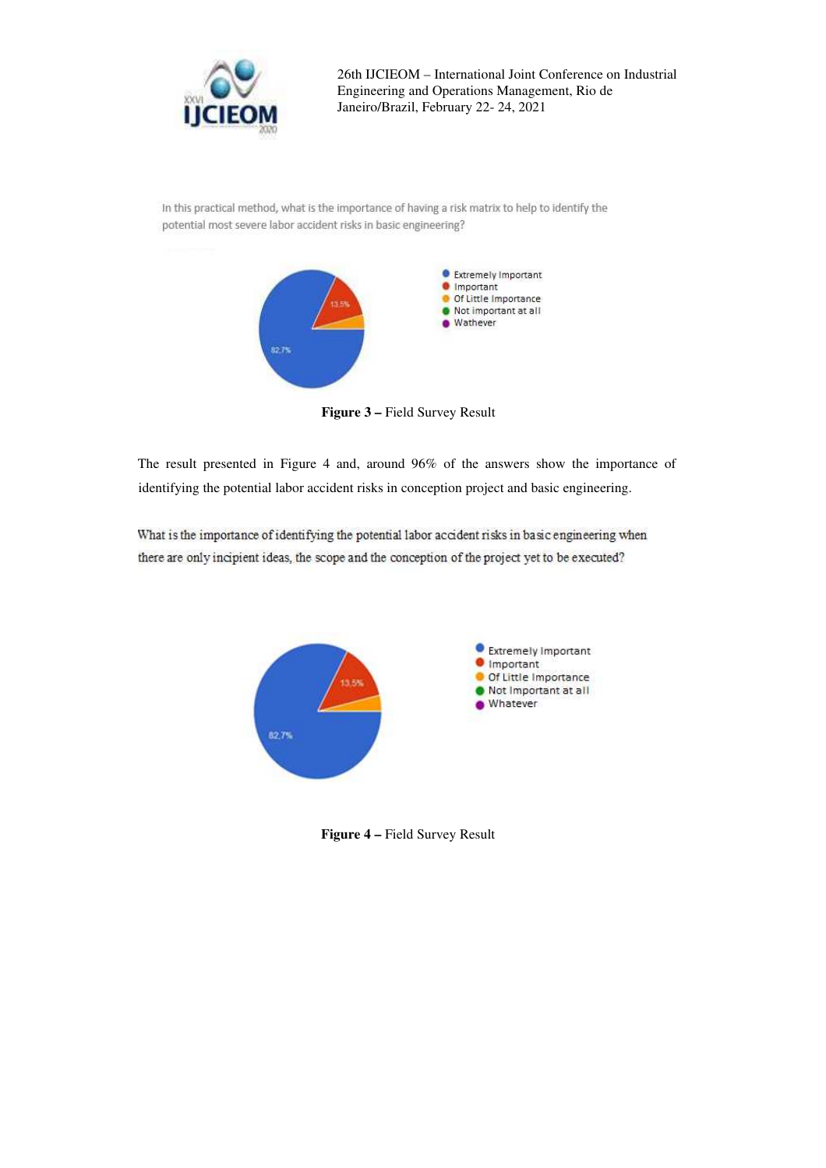

In this practical method, what is the importance of having a risk matrix to help to identify the potential most severe labor accident risks in basic engineering?



**Figure 3 –** Field Survey Result

The result presented in Figure 4 and, around 96% of the answers show the importance of identifying the potential labor accident risks in conception project and basic engineering.

What is the importance of identifying the potential labor accident risks in basic engineering when there are only incipient ideas, the scope and the conception of the project yet to be executed?



**Figure 4 –** Field Survey Result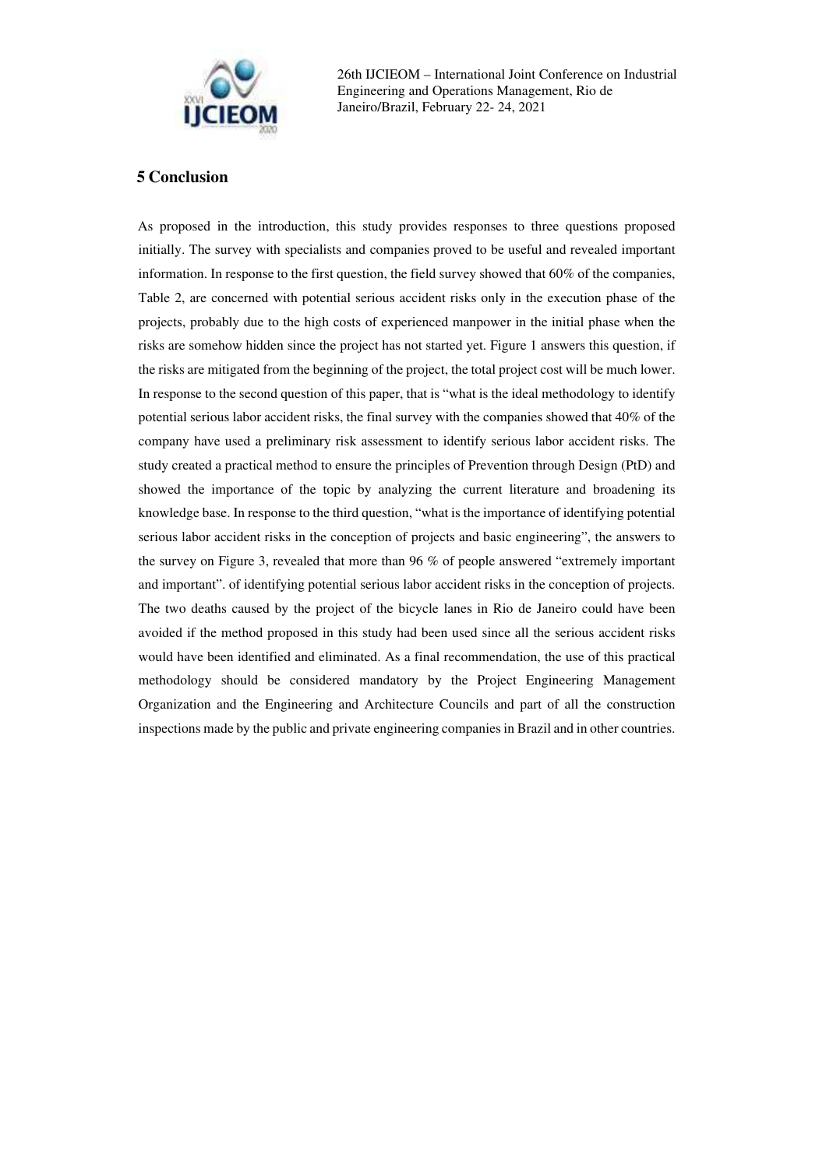

## **5 Conclusion**

As proposed in the introduction, this study provides responses to three questions proposed initially. The survey with specialists and companies proved to be useful and revealed important information. In response to the first question, the field survey showed that 60% of the companies, Table 2, are concerned with potential serious accident risks only in the execution phase of the projects, probably due to the high costs of experienced manpower in the initial phase when the risks are somehow hidden since the project has not started yet. Figure 1 answers this question, if the risks are mitigated from the beginning of the project, the total project cost will be much lower. In response to the second question of this paper, that is "what is the ideal methodology to identify potential serious labor accident risks, the final survey with the companies showed that 40% of the company have used a preliminary risk assessment to identify serious labor accident risks. The study created a practical method to ensure the principles of Prevention through Design (PtD) and showed the importance of the topic by analyzing the current literature and broadening its knowledge base. In response to the third question, "what is the importance of identifying potential serious labor accident risks in the conception of projects and basic engineering", the answers to the survey on Figure 3, revealed that more than 96 % of people answered "extremely important and important". of identifying potential serious labor accident risks in the conception of projects. The two deaths caused by the project of the bicycle lanes in Rio de Janeiro could have been avoided if the method proposed in this study had been used since all the serious accident risks would have been identified and eliminated. As a final recommendation, the use of this practical methodology should be considered mandatory by the Project Engineering Management Organization and the Engineering and Architecture Councils and part of all the construction inspections made by the public and private engineering companies in Brazil and in other countries.